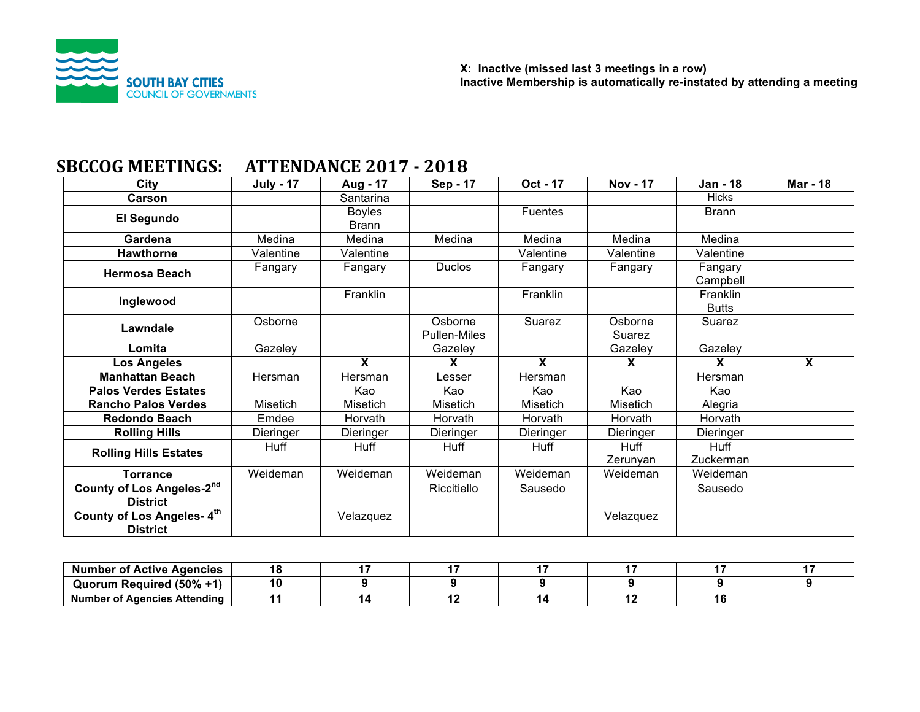

# **SBCCOG MEETINGS: ATTENDANCE 2017 - 2018**

| City                                                                      | <b>July - 17</b> | Aug - 17                      | Sep - 17                       | Oct - 17     | <b>Nov - 17</b>   | <b>Jan - 18</b>          | <b>Mar - 18</b> |
|---------------------------------------------------------------------------|------------------|-------------------------------|--------------------------------|--------------|-------------------|--------------------------|-----------------|
| Carson                                                                    |                  | Santarina                     |                                |              |                   | <b>Hicks</b>             |                 |
| El Segundo                                                                |                  | <b>Boyles</b><br><b>Brann</b> |                                | Fuentes      |                   | <b>Brann</b>             |                 |
| Gardena                                                                   | Medina           | Medina                        | Medina                         | Medina       | Medina            | Medina                   |                 |
| <b>Hawthorne</b>                                                          | Valentine        | Valentine                     |                                | Valentine    | Valentine         | Valentine                |                 |
| <b>Hermosa Beach</b>                                                      | Fangary          | Fangary                       | <b>Duclos</b>                  | Fangary      | Fangary           | Fangary<br>Campbell      |                 |
| Inglewood                                                                 |                  | Franklin                      |                                | Franklin     |                   | Franklin<br><b>Butts</b> |                 |
| Lawndale                                                                  | Osborne          |                               | Osborne<br><b>Pullen-Miles</b> | Suarez       | Osborne<br>Suarez | Suarez                   |                 |
| Lomita                                                                    | Gazeley          |                               | Gazeley                        |              | Gazeley           | Gazeley                  |                 |
| <b>Los Angeles</b>                                                        |                  | X                             | X                              | $\mathbf{x}$ | X                 | <b>X</b>                 | X               |
|                                                                           |                  |                               |                                |              |                   |                          |                 |
| <b>Manhattan Beach</b>                                                    | Hersman          | Hersman                       | Lesser                         | Hersman      |                   | Hersman                  |                 |
| <b>Palos Verdes Estates</b>                                               |                  | Kao                           | Kao                            | Kao          | Kao               | Kao                      |                 |
| <b>Rancho Palos Verdes</b>                                                | Misetich         | Misetich                      | Misetich                       | Misetich     | Misetich          | Alegria                  |                 |
| <b>Redondo Beach</b>                                                      | Emdee            | <b>Horvath</b>                | Horvath                        | Horvath      | Horvath           | Horvath                  |                 |
| <b>Rolling Hills</b>                                                      | Dieringer        | Dieringer                     | Dieringer                      | Dieringer    | Dieringer         | Dieringer                |                 |
| <b>Rolling Hills Estates</b>                                              | <b>Huff</b>      | Huff                          | Huff                           | Huff         | Huff<br>Zerunyan  | Huff<br>Zuckerman        |                 |
| <b>Torrance</b>                                                           | Weideman         | Weideman                      | Weideman                       | Weideman     | Weideman          | Weideman                 |                 |
| County of Los Angeles-2nd<br><b>District</b><br>County of Los Angeles-4th |                  |                               | Riccitiello                    | Sausedo      |                   | Sausedo                  |                 |

| <b>Number of Active Agencies</b>    |  |  |  |  |
|-------------------------------------|--|--|--|--|
| Quorum Required (50% +1)            |  |  |  |  |
| <b>Number of Agencies Attending</b> |  |  |  |  |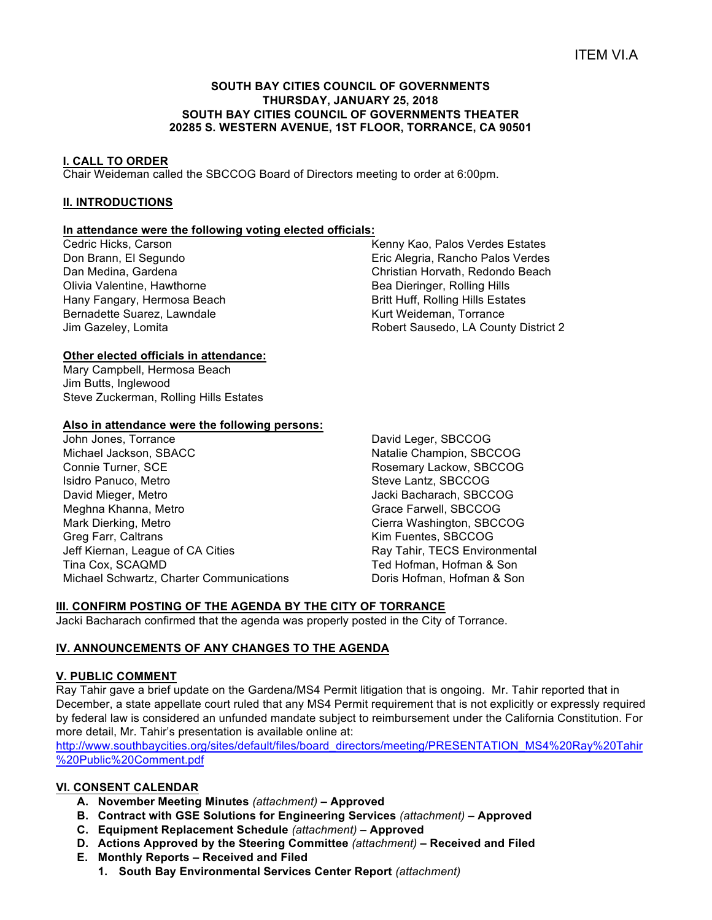## **SOUTH BAY CITIES COUNCIL OF GOVERNMENTS THURSDAY, JANUARY 25, 2018 SOUTH BAY CITIES COUNCIL OF GOVERNMENTS THEATER 20285 S. WESTERN AVENUE, 1ST FLOOR, TORRANCE, CA 90501**

## **I. CALL TO ORDER**

Chair Weideman called the SBCCOG Board of Directors meeting to order at 6:00pm.

# **II. INTRODUCTIONS**

## **In attendance were the following voting elected officials:**

Cedric Hicks, Carson Don Brann, El Segundo Dan Medina, Gardena Olivia Valentine, Hawthorne Hany Fangary, Hermosa Beach Bernadette Suarez, Lawndale Jim Gazeley, Lomita

Kenny Kao, Palos Verdes Estates Eric Alegria, Rancho Palos Verdes Christian Horvath, Redondo Beach Bea Dieringer, Rolling Hills Britt Huff, Rolling Hills Estates Kurt Weideman, Torrance Robert Sausedo, LA County District 2

# **Other elected officials in attendance:**

Mary Campbell, Hermosa Beach Jim Butts, Inglewood Steve Zuckerman, Rolling Hills Estates

## **Also in attendance were the following persons:**

John Jones, Torrance Michael Jackson, SBACC Connie Turner, SCE Isidro Panuco, Metro David Mieger, Metro Meghna Khanna, Metro Mark Dierking, Metro Greg Farr, Caltrans Jeff Kiernan, League of CA Cities Tina Cox, SCAQMD Michael Schwartz, Charter Communications

David Leger, SBCCOG Natalie Champion, SBCCOG Rosemary Lackow, SBCCOG Steve Lantz, SBCCOG Jacki Bacharach, SBCCOG Grace Farwell, SBCCOG Cierra Washington, SBCCOG Kim Fuentes, SBCCOG Ray Tahir, TECS Environmental Ted Hofman, Hofman & Son Doris Hofman, Hofman & Son

# **III. CONFIRM POSTING OF THE AGENDA BY THE CITY OF TORRANCE**

Jacki Bacharach confirmed that the agenda was properly posted in the City of Torrance.

# **IV. ANNOUNCEMENTS OF ANY CHANGES TO THE AGENDA**

## **V. PUBLIC COMMENT**

Ray Tahir gave a brief update on the Gardena/MS4 Permit litigation that is ongoing. Mr. Tahir reported that in December, a state appellate court ruled that any MS4 Permit requirement that is not explicitly or expressly required by federal law is considered an unfunded mandate subject to reimbursement under the California Constitution. For more detail, Mr. Tahir's presentation is available online at:

http://www.southbaycities.org/sites/default/files/board\_directors/meeting/PRESENTATION\_MS4%20Ray%20Tahir %20Public%20Comment.pdf

## **VI. CONSENT CALENDAR**

- **A. November Meeting Minutes** *(attachment) –* **Approved**
- **B. Contract with GSE Solutions for Engineering Services** *(attachment)* **– Approved**
- **C. Equipment Replacement Schedule** *(attachment)* **– Approved**
- **D. Actions Approved by the Steering Committee** *(attachment)* **– Received and Filed**
- **E. Monthly Reports – Received and Filed**
	- **1. South Bay Environmental Services Center Report** *(attachment)*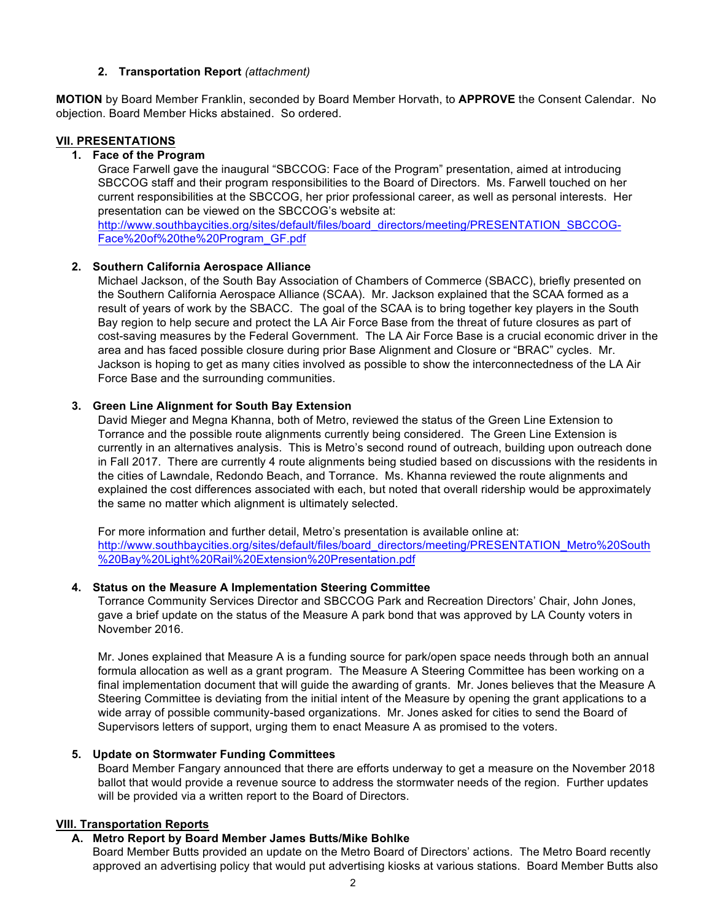## **2. Transportation Report** *(attachment)*

**MOTION** by Board Member Franklin, seconded by Board Member Horvath, to **APPROVE** the Consent Calendar. No objection. Board Member Hicks abstained. So ordered.

## **VII. PRESENTATIONS**

## **1. Face of the Program**

Grace Farwell gave the inaugural "SBCCOG: Face of the Program" presentation, aimed at introducing SBCCOG staff and their program responsibilities to the Board of Directors. Ms. Farwell touched on her current responsibilities at the SBCCOG, her prior professional career, as well as personal interests. Her presentation can be viewed on the SBCCOG's website at:

http://www.southbaycities.org/sites/default/files/board\_directors/meeting/PRESENTATION\_SBCCOG-Face%20of%20the%20Program\_GF.pdf

# **2. Southern California Aerospace Alliance**

Michael Jackson, of the South Bay Association of Chambers of Commerce (SBACC), briefly presented on the Southern California Aerospace Alliance (SCAA). Mr. Jackson explained that the SCAA formed as a result of years of work by the SBACC. The goal of the SCAA is to bring together key players in the South Bay region to help secure and protect the LA Air Force Base from the threat of future closures as part of cost-saving measures by the Federal Government. The LA Air Force Base is a crucial economic driver in the area and has faced possible closure during prior Base Alignment and Closure or "BRAC" cycles. Mr. Jackson is hoping to get as many cities involved as possible to show the interconnectedness of the LA Air Force Base and the surrounding communities.

# **3. Green Line Alignment for South Bay Extension**

David Mieger and Megna Khanna, both of Metro, reviewed the status of the Green Line Extension to Torrance and the possible route alignments currently being considered. The Green Line Extension is currently in an alternatives analysis. This is Metro's second round of outreach, building upon outreach done in Fall 2017. There are currently 4 route alignments being studied based on discussions with the residents in the cities of Lawndale, Redondo Beach, and Torrance. Ms. Khanna reviewed the route alignments and explained the cost differences associated with each, but noted that overall ridership would be approximately the same no matter which alignment is ultimately selected.

For more information and further detail, Metro's presentation is available online at: http://www.southbaycities.org/sites/default/files/board\_directors/meeting/PRESENTATION\_Metro%20South %20Bay%20Light%20Rail%20Extension%20Presentation.pdf

# **4. Status on the Measure A Implementation Steering Committee**

Torrance Community Services Director and SBCCOG Park and Recreation Directors' Chair, John Jones, gave a brief update on the status of the Measure A park bond that was approved by LA County voters in November 2016.

Mr. Jones explained that Measure A is a funding source for park/open space needs through both an annual formula allocation as well as a grant program. The Measure A Steering Committee has been working on a final implementation document that will guide the awarding of grants. Mr. Jones believes that the Measure A Steering Committee is deviating from the initial intent of the Measure by opening the grant applications to a wide array of possible community-based organizations. Mr. Jones asked for cities to send the Board of Supervisors letters of support, urging them to enact Measure A as promised to the voters.

# **5. Update on Stormwater Funding Committees**

Board Member Fangary announced that there are efforts underway to get a measure on the November 2018 ballot that would provide a revenue source to address the stormwater needs of the region. Further updates will be provided via a written report to the Board of Directors.

# **VIII. Transportation Reports**

# **A. Metro Report by Board Member James Butts/Mike Bohlke**

Board Member Butts provided an update on the Metro Board of Directors' actions. The Metro Board recently approved an advertising policy that would put advertising kiosks at various stations. Board Member Butts also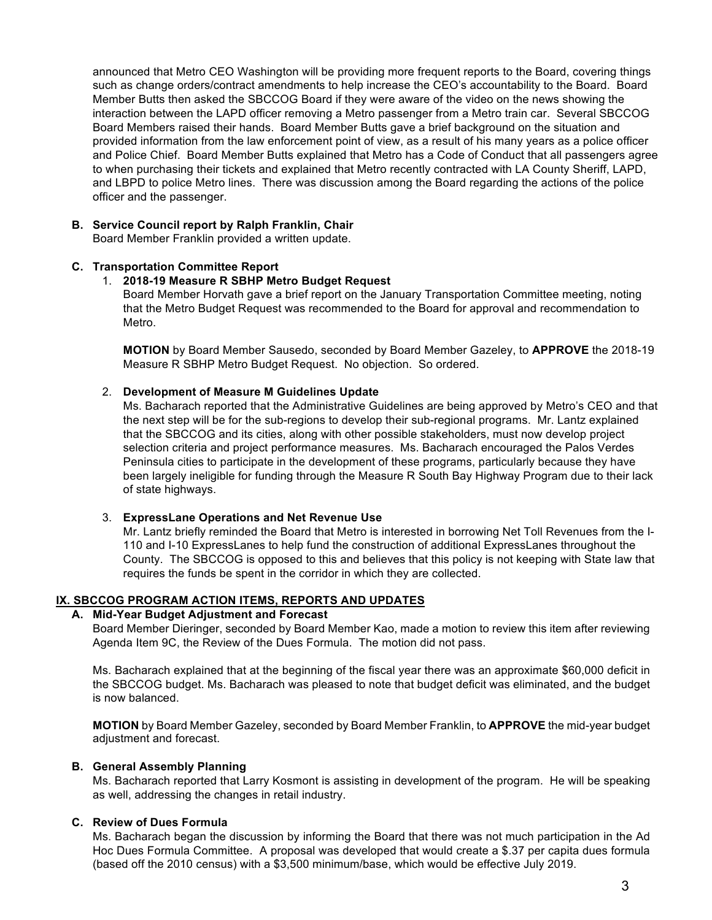announced that Metro CEO Washington will be providing more frequent reports to the Board, covering things such as change orders/contract amendments to help increase the CEO's accountability to the Board. Board Member Butts then asked the SBCCOG Board if they were aware of the video on the news showing the interaction between the LAPD officer removing a Metro passenger from a Metro train car. Several SBCCOG Board Members raised their hands. Board Member Butts gave a brief background on the situation and provided information from the law enforcement point of view, as a result of his many years as a police officer and Police Chief. Board Member Butts explained that Metro has a Code of Conduct that all passengers agree to when purchasing their tickets and explained that Metro recently contracted with LA County Sheriff, LAPD, and LBPD to police Metro lines. There was discussion among the Board regarding the actions of the police officer and the passenger.

## **B. Service Council report by Ralph Franklin, Chair**

Board Member Franklin provided a written update.

## **C. Transportation Committee Report**

## 1. **2018-19 Measure R SBHP Metro Budget Request**

Board Member Horvath gave a brief report on the January Transportation Committee meeting, noting that the Metro Budget Request was recommended to the Board for approval and recommendation to Metro.

**MOTION** by Board Member Sausedo, seconded by Board Member Gazeley, to **APPROVE** the 2018-19 Measure R SBHP Metro Budget Request. No objection. So ordered.

# 2. **Development of Measure M Guidelines Update**

Ms. Bacharach reported that the Administrative Guidelines are being approved by Metro's CEO and that the next step will be for the sub-regions to develop their sub-regional programs. Mr. Lantz explained that the SBCCOG and its cities, along with other possible stakeholders, must now develop project selection criteria and project performance measures. Ms. Bacharach encouraged the Palos Verdes Peninsula cities to participate in the development of these programs, particularly because they have been largely ineligible for funding through the Measure R South Bay Highway Program due to their lack of state highways.

## 3. **ExpressLane Operations and Net Revenue Use**

Mr. Lantz briefly reminded the Board that Metro is interested in borrowing Net Toll Revenues from the I-110 and I-10 ExpressLanes to help fund the construction of additional ExpressLanes throughout the County. The SBCCOG is opposed to this and believes that this policy is not keeping with State law that requires the funds be spent in the corridor in which they are collected.

# **IX. SBCCOG PROGRAM ACTION ITEMS, REPORTS AND UPDATES**

# **A. Mid-Year Budget Adjustment and Forecast**

Board Member Dieringer, seconded by Board Member Kao, made a motion to review this item after reviewing Agenda Item 9C, the Review of the Dues Formula. The motion did not pass.

Ms. Bacharach explained that at the beginning of the fiscal year there was an approximate \$60,000 deficit in the SBCCOG budget. Ms. Bacharach was pleased to note that budget deficit was eliminated, and the budget is now balanced.

**MOTION** by Board Member Gazeley, seconded by Board Member Franklin, to **APPROVE** the mid-year budget adjustment and forecast.

# **B. General Assembly Planning**

Ms. Bacharach reported that Larry Kosmont is assisting in development of the program. He will be speaking as well, addressing the changes in retail industry.

# **C. Review of Dues Formula**

Ms. Bacharach began the discussion by informing the Board that there was not much participation in the Ad Hoc Dues Formula Committee. A proposal was developed that would create a \$.37 per capita dues formula (based off the 2010 census) with a \$3,500 minimum/base, which would be effective July 2019.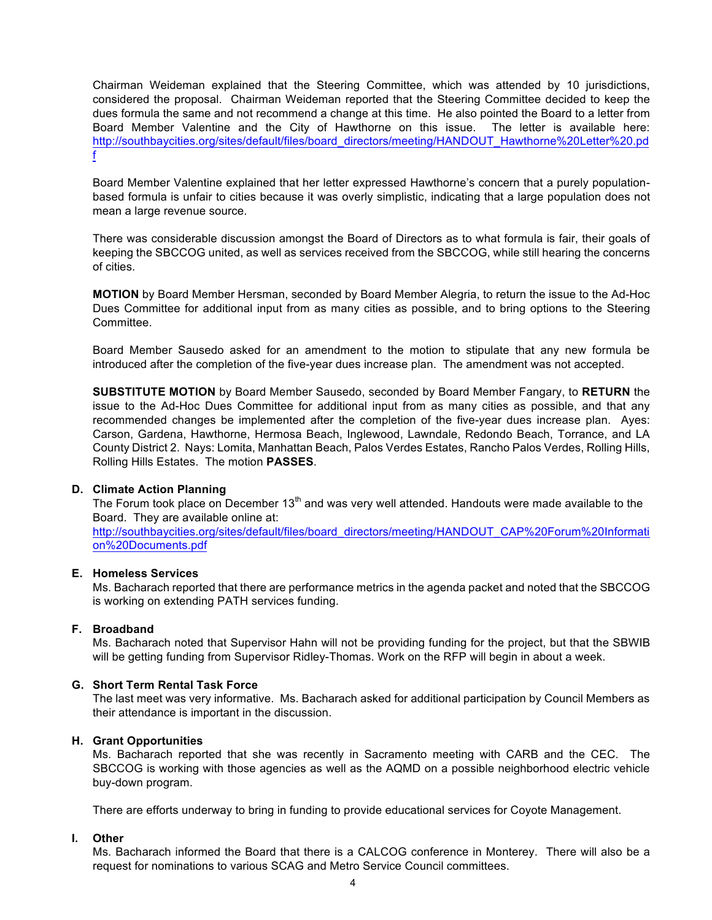Chairman Weideman explained that the Steering Committee, which was attended by 10 jurisdictions, considered the proposal. Chairman Weideman reported that the Steering Committee decided to keep the dues formula the same and not recommend a change at this time. He also pointed the Board to a letter from Board Member Valentine and the City of Hawthorne on this issue. The letter is available here: http://southbaycities.org/sites/default/files/board\_directors/meeting/HANDOUT\_Hawthorne%20Letter%20.pd f

Board Member Valentine explained that her letter expressed Hawthorne's concern that a purely populationbased formula is unfair to cities because it was overly simplistic, indicating that a large population does not mean a large revenue source.

There was considerable discussion amongst the Board of Directors as to what formula is fair, their goals of keeping the SBCCOG united, as well as services received from the SBCCOG, while still hearing the concerns of cities.

**MOTION** by Board Member Hersman, seconded by Board Member Alegria, to return the issue to the Ad-Hoc Dues Committee for additional input from as many cities as possible, and to bring options to the Steering Committee.

Board Member Sausedo asked for an amendment to the motion to stipulate that any new formula be introduced after the completion of the five-year dues increase plan. The amendment was not accepted.

**SUBSTITUTE MOTION** by Board Member Sausedo, seconded by Board Member Fangary, to **RETURN** the issue to the Ad-Hoc Dues Committee for additional input from as many cities as possible, and that any recommended changes be implemented after the completion of the five-year dues increase plan. Ayes: Carson, Gardena, Hawthorne, Hermosa Beach, Inglewood, Lawndale, Redondo Beach, Torrance, and LA County District 2. Nays: Lomita, Manhattan Beach, Palos Verdes Estates, Rancho Palos Verdes, Rolling Hills, Rolling Hills Estates. The motion **PASSES**.

## **D. Climate Action Planning**

The Forum took place on December 13<sup>th</sup> and was very well attended. Handouts were made available to the Board. They are available online at:

http://southbaycities.org/sites/default/files/board\_directors/meeting/HANDOUT\_CAP%20Forum%20Informati on%20Documents.pdf

#### **E. Homeless Services**

Ms. Bacharach reported that there are performance metrics in the agenda packet and noted that the SBCCOG is working on extending PATH services funding.

## **F. Broadband**

Ms. Bacharach noted that Supervisor Hahn will not be providing funding for the project, but that the SBWIB will be getting funding from Supervisor Ridley-Thomas. Work on the RFP will begin in about a week.

## **G. Short Term Rental Task Force**

The last meet was very informative. Ms. Bacharach asked for additional participation by Council Members as their attendance is important in the discussion.

#### **H. Grant Opportunities**

Ms. Bacharach reported that she was recently in Sacramento meeting with CARB and the CEC. The SBCCOG is working with those agencies as well as the AQMD on a possible neighborhood electric vehicle buy-down program.

There are efforts underway to bring in funding to provide educational services for Coyote Management.

## **I. Other**

Ms. Bacharach informed the Board that there is a CALCOG conference in Monterey. There will also be a request for nominations to various SCAG and Metro Service Council committees.